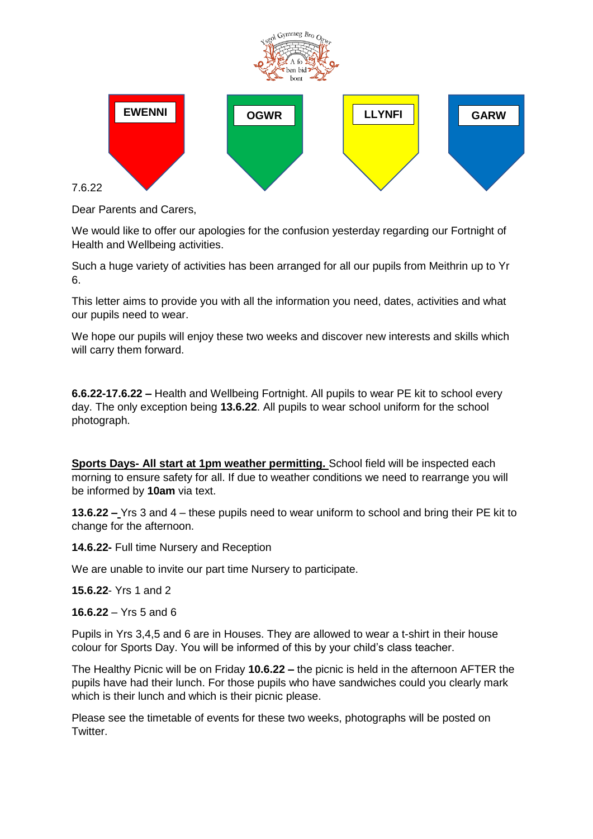

Dear Parents and Carers,

We would like to offer our apologies for the confusion yesterday regarding our Fortnight of Health and Wellbeing activities.

Such a huge variety of activities has been arranged for all our pupils from Meithrin up to Yr 6.

This letter aims to provide you with all the information you need, dates, activities and what our pupils need to wear.

We hope our pupils will enjoy these two weeks and discover new interests and skills which will carry them forward.

**6.6.22-17.6.22 –** Health and Wellbeing Fortnight. All pupils to wear PE kit to school every day. The only exception being **13.6.22**. All pupils to wear school uniform for the school photograph.

**Sports Days- All start at 1pm weather permitting.** School field will be inspected each morning to ensure safety for all. If due to weather conditions we need to rearrange you will be informed by **10am** via text.

**13.6.22 –** Yrs 3 and 4 – these pupils need to wear uniform to school and bring their PE kit to change for the afternoon.

**14.6.22-** Full time Nursery and Reception

We are unable to invite our part time Nursery to participate.

**15.6.22**- Yrs 1 and 2

**16.6.22** – Yrs 5 and 6

Pupils in Yrs 3,4,5 and 6 are in Houses. They are allowed to wear a t-shirt in their house colour for Sports Day. You will be informed of this by your child's class teacher.

The Healthy Picnic will be on Friday **10.6.22 –** the picnic is held in the afternoon AFTER the pupils have had their lunch. For those pupils who have sandwiches could you clearly mark which is their lunch and which is their picnic please.

Please see the timetable of events for these two weeks, photographs will be posted on Twitter.